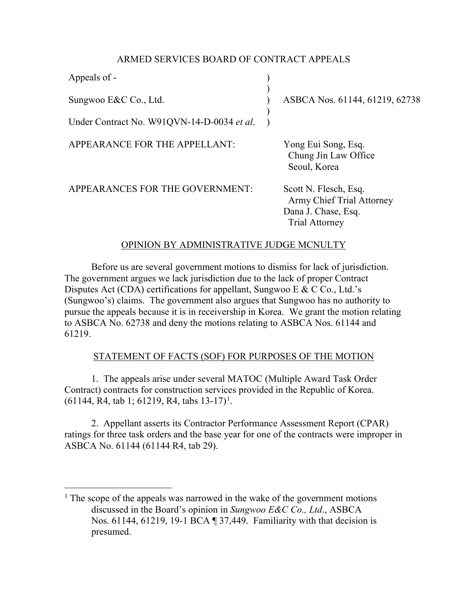# ARMED SERVICES BOARD OF CONTRACT APPEALS

| Appeals of -                               |                                                                                                    |
|--------------------------------------------|----------------------------------------------------------------------------------------------------|
| Sungwoo E&C Co., Ltd.                      | ASBCA Nos. 61144, 61219, 62738                                                                     |
| Under Contract No. W91QVN-14-D-0034 et al. |                                                                                                    |
| APPEARANCE FOR THE APPELLANT:              | Yong Eui Song, Esq.<br>Chung Jin Law Office<br>Seoul, Korea                                        |
| APPEARANCES FOR THE GOVERNMENT:            | Scott N. Flesch, Esq.<br>Army Chief Trial Attorney<br>Dana J. Chase, Esq.<br><b>Trial Attorney</b> |

# OPINION BY ADMINISTRATIVE JUDGE MCNULTY

 Before us are several government motions to dismiss for lack of jurisdiction. The government argues we lack jurisdiction due to the lack of proper Contract Disputes Act (CDA) certifications for appellant, Sungwoo E & C Co., Ltd.'s (Sungwoo's) claims. The government also argues that Sungwoo has no authority to pursue the appeals because it is in receivership in Korea. We grant the motion relating to ASBCA No. 62738 and deny the motions relating to ASBCA Nos. 61144 and 61219.

# STATEMENT OF FACTS (SOF) FOR PURPOSES OF THE MOTION

1. The appeals arise under several MATOC (Multiple Award Task Order Contract) contracts for construction services provided in the Republic of Korea.  $(61144, R4, tab 1; 61219, R4, tabs 13-17)^1$  $(61144, R4, tab 1; 61219, R4, tabs 13-17)^1$  $(61144, R4, tab 1; 61219, R4, tabs 13-17)^1$ .

2. Appellant asserts its Contractor Performance Assessment Report (CPAR) ratings for three task orders and the base year for one of the contracts were improper in ASBCA No. 61144 (61144 R4, tab 29).

 $\overline{a}$ 

<span id="page-0-0"></span><sup>&</sup>lt;sup>1</sup> The scope of the appeals was narrowed in the wake of the government motions discussed in the Board's opinion in *Sungwoo E&C Co., Ltd*., ASBCA Nos. 61144, 61219, 19-1 BCA ¶ 37,449. Familiarity with that decision is presumed.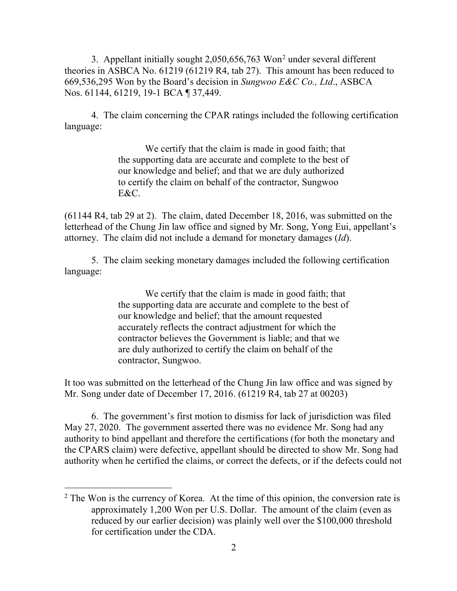3. Appellant initially sought 2,050,656,763 Wo[n2](#page-1-0) under several different theories in ASBCA No. 61219 (61219 R4, tab 27). This amount has been reduced to 669,536,295 Won by the Board's decision in *Sungwoo E&C Co., Ltd*., ASBCA Nos. 61144, 61219, 19-1 BCA ¶ 37,449.

4. The claim concerning the CPAR ratings included the following certification language:

> We certify that the claim is made in good faith; that the supporting data are accurate and complete to the best of our knowledge and belief; and that we are duly authorized to certify the claim on behalf of the contractor, Sungwoo E&C.

(61144 R4, tab 29 at 2). The claim, dated December 18, 2016, was submitted on the letterhead of the Chung Jin law office and signed by Mr. Song, Yong Eui, appellant's attorney. The claim did not include a demand for monetary damages (*Id*).

5. The claim seeking monetary damages included the following certification language:

> We certify that the claim is made in good faith; that the supporting data are accurate and complete to the best of our knowledge and belief; that the amount requested accurately reflects the contract adjustment for which the contractor believes the Government is liable; and that we are duly authorized to certify the claim on behalf of the contractor, Sungwoo.

It too was submitted on the letterhead of the Chung Jin law office and was signed by Mr. Song under date of December 17, 2016. (61219 R4, tab 27 at 00203)

6. The government's first motion to dismiss for lack of jurisdiction was filed May 27, 2020. The government asserted there was no evidence Mr. Song had any authority to bind appellant and therefore the certifications (for both the monetary and the CPARS claim) were defective, appellant should be directed to show Mr. Song had authority when he certified the claims, or correct the defects, or if the defects could not

<span id="page-1-0"></span> $2$  The Won is the currency of Korea. At the time of this opinion, the conversion rate is approximately 1,200 Won per U.S. Dollar. The amount of the claim (even as reduced by our earlier decision) was plainly well over the \$100,000 threshold for certification under the CDA.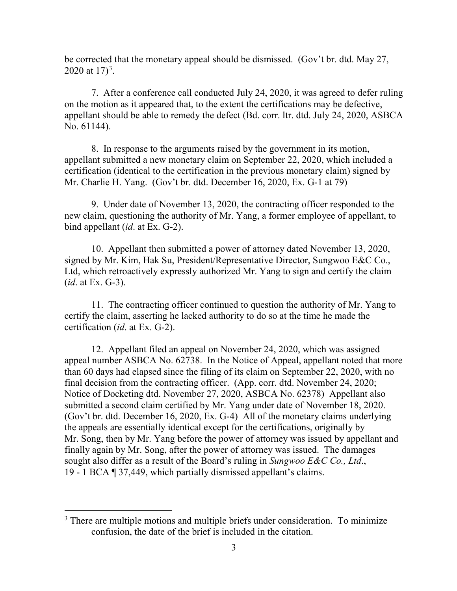be corrected that the monetary appeal should be dismissed. (Gov't br. dtd. May 27, 2020 at  $17)^3$  $17)^3$ .

7. After a conference call conducted July 24, 2020, it was agreed to defer ruling on the motion as it appeared that, to the extent the certifications may be defective, appellant should be able to remedy the defect (Bd. corr. ltr. dtd. July 24, 2020, ASBCA No. 61144).

8. In response to the arguments raised by the government in its motion, appellant submitted a new monetary claim on September 22, 2020, which included a certification (identical to the certification in the previous monetary claim) signed by Mr. Charlie H. Yang. (Gov't br. dtd. December 16, 2020, Ex. G-1 at 79)

9. Under date of November 13, 2020, the contracting officer responded to the new claim, questioning the authority of Mr. Yang, a former employee of appellant, to bind appellant (*id*. at Ex. G-2).

10. Appellant then submitted a power of attorney dated November 13, 2020, signed by Mr. Kim, Hak Su, President/Representative Director, Sungwoo E&C Co., Ltd, which retroactively expressly authorized Mr. Yang to sign and certify the claim (*id*. at Ex. G-3).

11. The contracting officer continued to question the authority of Mr. Yang to certify the claim, asserting he lacked authority to do so at the time he made the certification (*id*. at Ex. G-2).

12. Appellant filed an appeal on November 24, 2020, which was assigned appeal number ASBCA No. 62738. In the Notice of Appeal, appellant noted that more than 60 days had elapsed since the filing of its claim on September 22, 2020, with no final decision from the contracting officer. (App. corr. dtd. November 24, 2020; Notice of Docketing dtd. November 27, 2020, ASBCA No. 62378) Appellant also submitted a second claim certified by Mr. Yang under date of November 18, 2020. (Gov't br. dtd. December 16, 2020, Ex. G-4) All of the monetary claims underlying the appeals are essentially identical except for the certifications, originally by Mr. Song, then by Mr. Yang before the power of attorney was issued by appellant and finally again by Mr. Song, after the power of attorney was issued. The damages sought also differ as a result of the Board's ruling in *Sungwoo E&C Co., Ltd*., 19 - 1 BCA ¶ 37,449, which partially dismissed appellant's claims.

<span id="page-2-0"></span><sup>&</sup>lt;sup>3</sup> There are multiple motions and multiple briefs under consideration. To minimize confusion, the date of the brief is included in the citation.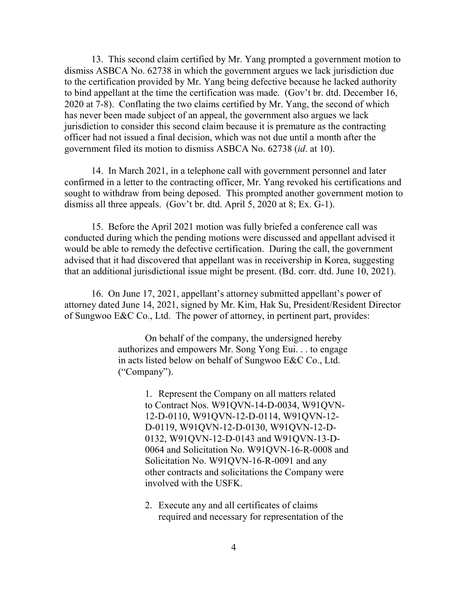13. This second claim certified by Mr. Yang prompted a government motion to dismiss ASBCA No. 62738 in which the government argues we lack jurisdiction due to the certification provided by Mr. Yang being defective because he lacked authority to bind appellant at the time the certification was made. (Gov't br. dtd. December 16, 2020 at 7-8). Conflating the two claims certified by Mr. Yang, the second of which has never been made subject of an appeal, the government also argues we lack jurisdiction to consider this second claim because it is premature as the contracting officer had not issued a final decision, which was not due until a month after the government filed its motion to dismiss ASBCA No. 62738 (*id*. at 10).

14. In March 2021, in a telephone call with government personnel and later confirmed in a letter to the contracting officer, Mr. Yang revoked his certifications and sought to withdraw from being deposed. This prompted another government motion to dismiss all three appeals. (Gov't br. dtd. April 5, 2020 at 8; Ex. G-1).

15. Before the April 2021 motion was fully briefed a conference call was conducted during which the pending motions were discussed and appellant advised it would be able to remedy the defective certification. During the call, the government advised that it had discovered that appellant was in receivership in Korea, suggesting that an additional jurisdictional issue might be present. (Bd. corr. dtd. June 10, 2021).

16. On June 17, 2021, appellant's attorney submitted appellant's power of attorney dated June 14, 2021, signed by Mr. Kim, Hak Su, President/Resident Director of Sungwoo E&C Co., Ltd. The power of attorney, in pertinent part, provides:

> On behalf of the company, the undersigned hereby authorizes and empowers Mr. Song Yong Eui. . . to engage in acts listed below on behalf of Sungwoo E&C Co., Ltd. ("Company").

> > 1. Represent the Company on all matters related to Contract Nos. W91QVN-14-D-0034, W91QVN-12-D-0110, W91QVN-12-D-0114, W91QVN-12- D-0119, W91QVN-12-D-0130, W91QVN-12-D-0132, W91QVN-12-D-0143 and W91QVN-13-D-0064 and Solicitation No. W91QVN-16-R-0008 and Solicitation No. W91QVN-16-R-0091 and any other contracts and solicitations the Company were involved with the USFK.

2. Execute any and all certificates of claims required and necessary for representation of the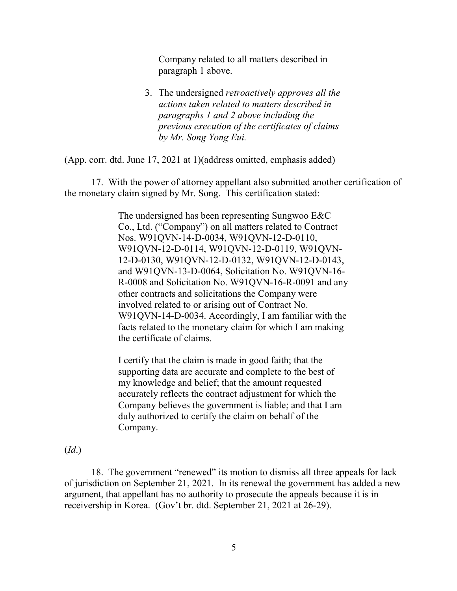Company related to all matters described in paragraph 1 above.

3. The undersigned *retroactively approves all the actions taken related to matters described in paragraphs 1 and 2 above including the previous execution of the certificates of claims by Mr. Song Yong Eui.*

(App. corr. dtd. June 17, 2021 at 1)(address omitted, emphasis added)

17. With the power of attorney appellant also submitted another certification of the monetary claim signed by Mr. Song. This certification stated:

> The undersigned has been representing Sungwoo E&C Co., Ltd. ("Company") on all matters related to Contract Nos. W91QVN-14-D-0034, W91QVN-12-D-0110, W91QVN-12-D-0114, W91QVN-12-D-0119, W91QVN-12-D-0130, W91QVN-12-D-0132, W91QVN-12-D-0143, and W91QVN-13-D-0064, Solicitation No. W91QVN-16- R-0008 and Solicitation No. W91QVN-16-R-0091 and any other contracts and solicitations the Company were involved related to or arising out of Contract No. W91QVN-14-D-0034. Accordingly, I am familiar with the facts related to the monetary claim for which I am making the certificate of claims.

I certify that the claim is made in good faith; that the supporting data are accurate and complete to the best of my knowledge and belief; that the amount requested accurately reflects the contract adjustment for which the Company believes the government is liable; and that I am duly authorized to certify the claim on behalf of the Company.

(*Id*.)

18. The government "renewed" its motion to dismiss all three appeals for lack of jurisdiction on September 21, 2021. In its renewal the government has added a new argument, that appellant has no authority to prosecute the appeals because it is in receivership in Korea. (Gov't br. dtd. September 21, 2021 at 26-29).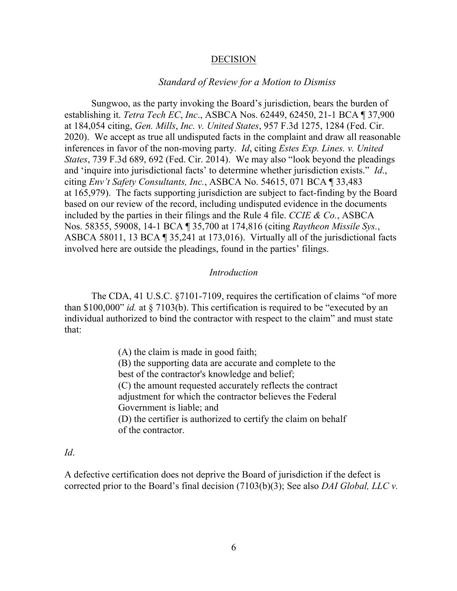### **DECISION**

### *Standard of Review for a Motion to Dismiss*

Sungwoo, as the party invoking the Board's jurisdiction, bears the burden of establishing it. *Tetra Tech EC*, *Inc*., ASBCA Nos. 62449, 62450, 21-1 BCA ¶ 37,900 at 184,054 citing, *Gen. Mills*, *Inc. v. United States*[, 957 F.3d 1275, 1284 \(Fed. Cir.](https://1.next.westlaw.com/Link/Document/FullText?findType=Y&serNum=2050826064&pubNum=0000506&originatingDoc=I7aa849cbf61011ebb68ee35de307357b&refType=RP&fi=co_pp_sp_506_1284&originationContext=document&transitionType=DocumentItem&ppcid=62f0cdc1ab5c47dd948eb2030f3dca48&contextData=(sc.Keycite)#co_pp_sp_506_1284)  [2020\).](https://1.next.westlaw.com/Link/Document/FullText?findType=Y&serNum=2050826064&pubNum=0000506&originatingDoc=I7aa849cbf61011ebb68ee35de307357b&refType=RP&fi=co_pp_sp_506_1284&originationContext=document&transitionType=DocumentItem&ppcid=62f0cdc1ab5c47dd948eb2030f3dca48&contextData=(sc.Keycite)#co_pp_sp_506_1284) We accept as true all undisputed facts in the complaint and draw all reasonable inferences in favor of the non-moving party. *Id*, citing *[Estes Exp. Lines. v.](https://1.next.westlaw.com/Link/Document/FullText?findType=Y&serNum=2032461840&pubNum=0000506&originatingDoc=I7aa849cbf61011ebb68ee35de307357b&refType=RP&fi=co_pp_sp_506_692&originationContext=document&transitionType=DocumentItem&ppcid=62f0cdc1ab5c47dd948eb2030f3dca48&contextData=(sc.Keycite)#co_pp_sp_506_692) United States*[, 739 F.3d 689, 692 \(Fed. Cir. 2014\).](https://1.next.westlaw.com/Link/Document/FullText?findType=Y&serNum=2032461840&pubNum=0000506&originatingDoc=I7aa849cbf61011ebb68ee35de307357b&refType=RP&fi=co_pp_sp_506_692&originationContext=document&transitionType=DocumentItem&ppcid=62f0cdc1ab5c47dd948eb2030f3dca48&contextData=(sc.Keycite)#co_pp_sp_506_692) We may also "look beyond the pleadings and 'inquire into jurisdictional facts' to determine whether jurisdiction exists." *Id*., citing *Env't Safety Consultants, Inc.*[, ASBCA No. 54615, 071 BCA ¶ 33,483](https://1.next.westlaw.com/Link/Document/FullText?findType=Y&serNum=2011438075&pubNum=0001018&originatingDoc=I7aa849cbf61011ebb68ee35de307357b&refType=CA&originationContext=document&transitionType=DocumentItem&ppcid=62f0cdc1ab5c47dd948eb2030f3dca48&contextData=(sc.Keycite))  [at 165,979\)](https://1.next.westlaw.com/Link/Document/FullText?findType=Y&serNum=2011438075&pubNum=0001018&originatingDoc=I7aa849cbf61011ebb68ee35de307357b&refType=CA&originationContext=document&transitionType=DocumentItem&ppcid=62f0cdc1ab5c47dd948eb2030f3dca48&contextData=(sc.Keycite)). The facts supporting jurisdiction are subject to fact-finding by the Board based on our review of the record, including undisputed evidence in the documents included by the parties in their filings and the Rule 4 file. *CCIE & Co.*, ASBCA Nos. 58355, 59008, [14-1 BCA ¶ 35,700 at 174,816](https://1.next.westlaw.com/Link/Document/FullText?findType=Y&serNum=2034216898&pubNum=0001380&originatingDoc=I7aa849cbf61011ebb68ee35de307357b&refType=CA&originationContext=document&transitionType=DocumentItem&ppcid=62f0cdc1ab5c47dd948eb2030f3dca48&contextData=(sc.Keycite)) (citing *[Raytheon Missile Sys.](https://1.next.westlaw.com/Link/Document/FullText?findType=Y&serNum=2029944118&pubNum=0001018&originatingDoc=I7aa849cbf61011ebb68ee35de307357b&refType=CA&originationContext=document&transitionType=DocumentItem&ppcid=62f0cdc1ab5c47dd948eb2030f3dca48&contextData=(sc.Keycite))*, [ASBCA 58011, 13 BCA ¶ 35,241 at 173,016\)](https://1.next.westlaw.com/Link/Document/FullText?findType=Y&serNum=2029944118&pubNum=0001018&originatingDoc=I7aa849cbf61011ebb68ee35de307357b&refType=CA&originationContext=document&transitionType=DocumentItem&ppcid=62f0cdc1ab5c47dd948eb2030f3dca48&contextData=(sc.Keycite)). Virtually all of the jurisdictional facts involved here are outside the pleadings, found in the parties' filings.

## *Introduction*

The CDA, 41 U.S.C. §7101-7109, requires the certification of claims "of more than \$100,000" *id.* [at § 7103\(b\).](https://1.next.westlaw.com/Link/Document/FullText?findType=L&pubNum=1000546&cite=41USCAS7103&originatingDoc=I6257ea27b7ea11eb9e29e753f9f4dfbc&refType=RB&originationContext=document&transitionType=DocumentItem&ppcid=574a8eef9e454e0995e7071b9f4bf251&contextData=(sc.Keycite)#co_pp_a83b000018c76) This certification is required to be "executed by an individual authorized to bind the contractor with respect to the claim" and must state that:

> (A) the claim is made in good faith; (B) the supporting data are accurate and complete to the best of the contractor's knowledge and belief; (C) the amount requested accurately reflects the contract adjustment for which the contractor believes the Federal Government is liable; and (D) the certifier is authorized to certify the claim on behalf of the contractor.

#### *[Id](https://1.next.westlaw.com/Link/Document/FullText?findType=L&pubNum=1000546&cite=41USCAS7103&originatingDoc=I6257ea27b7ea11eb9e29e753f9f4dfbc&refType=RB&originationContext=document&transitionType=DocumentItem&ppcid=574a8eef9e454e0995e7071b9f4bf251&contextData=(sc.Keycite)#co_pp_3fed000053a85)*.

A defective certification does not deprive the Board of jurisdiction if the defect is corrected prior to the Board's final decision (7103(b)(3); See also *DAI Global, LLC v.*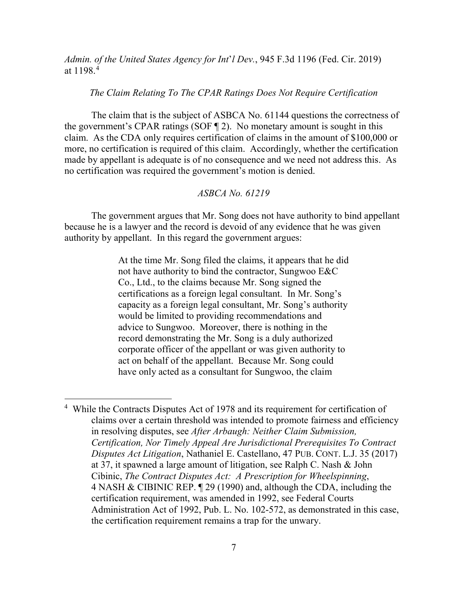*Admin. of the United States Agency for Int*'*l Dev.*, 945 F.3d 1196 (Fed. Cir. 2019) at 1198.[4](#page-6-0)

#### *The Claim Relating To The CPAR Ratings Does Not Require Certification*

The claim that is the subject of ASBCA No. 61144 questions the correctness of the government's CPAR ratings (SOF ¶ 2). No monetary amount is sought in this claim. As the CDA only requires certification of claims in the amount of \$100,000 or more, no certification is required of this claim. Accordingly, whether the certification made by appellant is adequate is of no consequence and we need not address this. As no certification was required the government's motion is denied.

## *ASBCA No. 61219*

 The government argues that Mr. Song does not have authority to bind appellant because he is a lawyer and the record is devoid of any evidence that he was given authority by appellant. In this regard the government argues:

> At the time Mr. Song filed the claims, it appears that he did not have authority to bind the contractor, Sungwoo E&C Co., Ltd., to the claims because Mr. Song signed the certifications as a foreign legal consultant. In Mr. Song's capacity as a foreign legal consultant, Mr. Song's authority would be limited to providing recommendations and advice to Sungwoo. Moreover, there is nothing in the record demonstrating the Mr. Song is a duly authorized corporate officer of the appellant or was given authority to act on behalf of the appellant. Because Mr. Song could have only acted as a consultant for Sungwoo, the claim

 $\overline{a}$ 

<span id="page-6-0"></span><sup>&</sup>lt;sup>4</sup> While the Contracts Disputes Act of 1978 and its requirement for certification of claims over a certain threshold was intended to promote fairness and efficiency in resolving disputes, see *After Arbaugh: Neither Claim Submission, Certification, Nor Timely Appeal Are Jurisdictional Prerequisites To Contract Disputes Act Litigation*, Nathaniel E. Castellano, 47 PUB. CONT. L.J. 35 (2017) at 37, it spawned a large amount of litigation, see Ralph C. Nash & John Cibinic, *[The Contract Disputes Act: A Prescription for Wheelspinning](https://1.next.westlaw.com/Link/Document/FullText?findType=Y&serNum=0283634362&pubNum=0139263&originatingDoc=I0d9a4da93d0b11e89bf099c0ee06c731&refType=LR&originationContext=document&transitionType=DocumentItem&ppcid=ceb09d725a33481595e09dedaab39aa3&contextData=(sc.Search))*, [4 NASH & CIBINIC REP. ¶ 29](https://1.next.westlaw.com/Link/Document/FullText?findType=Y&serNum=0283634362&pubNum=0139263&originatingDoc=I0d9a4da93d0b11e89bf099c0ee06c731&refType=LR&originationContext=document&transitionType=DocumentItem&ppcid=ceb09d725a33481595e09dedaab39aa3&contextData=(sc.Search)) (1990) and, although the CDA, including the certification requirement, was amended in 1992, see Federal Courts Administration Act of 1992, Pub. L. No. 102-572, as demonstrated in this case, the certification requirement remains a trap for the unwary.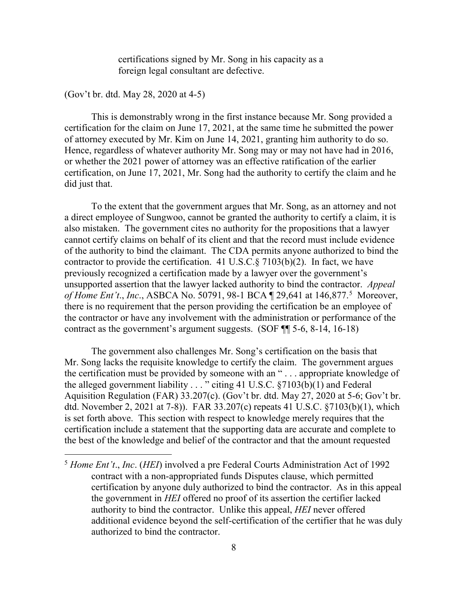certifications signed by Mr. Song in his capacity as a foreign legal consultant are defective.

(Gov't br. dtd. May 28, 2020 at 4-5)

This is demonstrably wrong in the first instance because Mr. Song provided a certification for the claim on June 17, 2021, at the same time he submitted the power of attorney executed by Mr. Kim on June 14, 2021, granting him authority to do so. Hence, regardless of whatever authority Mr. Song may or may not have had in 2016, or whether the 2021 power of attorney was an effective ratification of the earlier certification, on June 17, 2021, Mr. Song had the authority to certify the claim and he did just that.

To the extent that the government argues that Mr. Song, as an attorney and not a direct employee of Sungwoo, cannot be granted the authority to certify a claim, it is also mistaken. The government cites no authority for the propositions that a lawyer cannot certify claims on behalf of its client and that the record must include evidence of the authority to bind the claimant. The CDA permits anyone authorized to bind the contractor to provide the certification. 41 U.S.C. $\S$  7103(b)(2). In fact, we have previously recognized a certification made by a lawyer over the government's unsupported assertion that the lawyer lacked authority to bind the contractor. *Appeal of Home Ent't., Inc., ASBCA No.* [5](#page-7-0)0791, 98-1 BCA  $\mathbb{Z}/29,641$  at 146,877.<sup>5</sup> Moreover, there is no requirement that the person providing the certification be an employee of the contractor or have any involvement with the administration or performance of the contract as the government's argument suggests. (SOF ¶¶ 5-6, 8-14, 16-18)

The government also challenges Mr. Song's certification on the basis that Mr. Song lacks the requisite knowledge to certify the claim. The government argues the certification must be provided by someone with an " . . . appropriate knowledge of the alleged government liability  $\dots$  " citing 41 U.S.C. §7103(b)(1) and Federal Aquisition Regulation (FAR) 33.207(c). (Gov't br. dtd. May 27, 2020 at 5-6; Gov't br. dtd. November 2, 2021 at 7-8)). FAR 33.207(c) repeats 41 U.S.C. §7103(b)(1), which is set forth above. This section with respect to knowledge merely requires that the certification include a statement that the supporting data are accurate and complete to the best of the knowledge and belief of the contractor and that the amount requested

<span id="page-7-0"></span> <sup>5</sup> *Home Ent't*., *Inc*. (*HEI*) involved a pre Federal Courts Administration Act of 1992 contract with a non-appropriated funds Disputes clause, which permitted certification by anyone duly authorized to bind the contractor. As in this appeal the government in *HEI* offered no proof of its assertion the certifier lacked authority to bind the contractor. Unlike this appeal, *HEI* never offered additional evidence beyond the self-certification of the certifier that he was duly authorized to bind the contractor.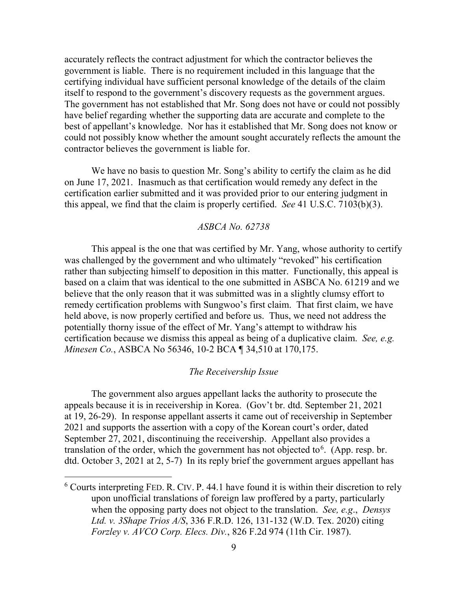accurately reflects the contract adjustment for which the contractor believes the government is liable. There is no requirement included in this language that the certifying individual have sufficient personal knowledge of the details of the claim itself to respond to the government's discovery requests as the government argues. The government has not established that Mr. Song does not have or could not possibly have belief regarding whether the supporting data are accurate and complete to the best of appellant's knowledge. Nor has it established that Mr. Song does not know or could not possibly know whether the amount sought accurately reflects the amount the contractor believes the government is liable for.

 We have no basis to question Mr. Song's ability to certify the claim as he did on June 17, 2021. Inasmuch as that certification would remedy any defect in the certification earlier submitted and it was provided prior to our entering judgment in this appeal, we find that the claim is properly certified. *See* 41 U.S.C. 7103(b)(3).

## *ASBCA No. 62738*

 This appeal is the one that was certified by Mr. Yang, whose authority to certify was challenged by the government and who ultimately "revoked" his certification rather than subjecting himself to deposition in this matter. Functionally, this appeal is based on a claim that was identical to the one submitted in ASBCA No. 61219 and we believe that the only reason that it was submitted was in a slightly clumsy effort to remedy certification problems with Sungwoo's first claim. That first claim, we have held above, is now properly certified and before us. Thus, we need not address the potentially thorny issue of the effect of Mr. Yang's attempt to withdraw his certification because we dismiss this appeal as being of a duplicative claim. *See, e.g. Minesen Co.*, ASBCA No 56346, 10-2 BCA ¶ 34,510 at 170,175.

#### *The Receivership Issue*

 The government also argues appellant lacks the authority to prosecute the appeals because it is in receivership in Korea. (Gov't br. dtd. September 21, 2021 at 19, 26-29). In response appellant asserts it came out of receivership in September 2021 and supports the assertion with a copy of the Korean court's order, dated September 27, 2021, discontinuing the receivership. Appellant also provides a translation of the order, which the government has not objected to  $6$ . (App. resp. br. dtd. October 3, 2021 at 2, 5-7) In its reply brief the government argues appellant has

 $\overline{a}$ 

<span id="page-8-0"></span> $6$  Courts interpreting FED. R. CIV. P. 44.1 have found it is within their discretion to rely upon unofficial translations of foreign law proffered by a party, particularly when the opposing party does not object to the translation. *See, e.g*., *Densys Ltd. v. 3Shape Trios A/S*, 336 F.R.D. 126, 131-132 (W.D. Tex. 2020) citing *[Forzley v. AVCO Corp. Elecs. Div.](https://1.next.westlaw.com/Link/Document/FullText?findType=Y&serNum=1987104104&pubNum=0000350&originatingDoc=I38761600a71b11eabb91c2e2bc8b49a5&refType=RP&fi=co_pp_sp_350_979&originationContext=document&transitionType=DocumentItem&ppcid=5b17c4ad023d438a90d7c193d39873a7&contextData=(sc.TRDiscover)#co_pp_sp_350_979)*, 826 F.2d 974 (11th Cir. 1987).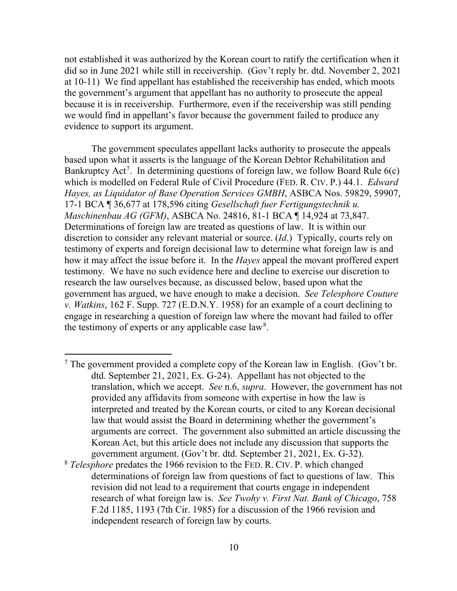not established it was authorized by the Korean court to ratify the certification when it did so in June 2021 while still in receivership. (Gov't reply br. dtd. November 2, 2021 at 10-11) We find appellant has established the receivership has ended, which moots the government's argument that appellant has no authority to prosecute the appeal because it is in receivership. Furthermore, even if the receivership was still pending we would find in appellant's favor because the government failed to produce any evidence to support its argument.

 The government speculates appellant lacks authority to prosecute the appeals based upon what it asserts is the language of the Korean Debtor Rehabilitation and Bankruptcy Act<sup>[7](#page-9-0)</sup>. In determining questions of foreign law, we follow Board Rule  $6(c)$ which is modelled on Federal Rule of Civil Procedure (FED. R. CIV. P.) 44.1. *Edward Hayes, as Liquidator of Base Operation Services GMBH*, ASBCA Nos. 59829, 59907, 17-1 BCA ¶ 36,677 at 178,596 citing *[Gesellschaft fuer Fertigungstechnik u.](https://1.next.westlaw.com/Link/Document/FullText?findType=Y&pubNum=0001018&cite=ASBCA38322&originatingDoc=I6c0e486f0b0b11e794bae40cad3637b1&refType=CA&originationContext=document&transitionType=DocumentItem&ppcid=03194629631a4d929dde7b8cbe97d172&contextData=(sc.Search))  [Maschinenbau AG \(GFM\)](https://1.next.westlaw.com/Link/Document/FullText?findType=Y&pubNum=0001018&cite=ASBCA38322&originatingDoc=I6c0e486f0b0b11e794bae40cad3637b1&refType=CA&originationContext=document&transitionType=DocumentItem&ppcid=03194629631a4d929dde7b8cbe97d172&contextData=(sc.Search))*, ASBCA No. 24816, [81-1 BCA ¶ 14,924 at 73,847.](https://1.next.westlaw.com/Link/Document/FullText?findType=Y&serNum=1989135931&pubNum=0001380&originatingDoc=I6c0e486f0b0b11e794bae40cad3637b1&refType=CA&originationContext=document&transitionType=DocumentItem&ppcid=03194629631a4d929dde7b8cbe97d172&contextData=(sc.Search))  Determinations of foreign law are treated as questions of law. It is within our discretion to consider any relevant material or source. (*Id*.) Typically, courts rely on testimony of experts and foreign decisional law to determine what foreign law is and how it may affect the issue before it. In the *Hayes* appeal the movant proffered expert testimony. We have no such evidence here and decline to exercise our discretion to research the law ourselves because, as discussed below, based upon what the government has argued, we have enough to make a decision. *See Telesphore Couture v. Watkins*, 162 F. Supp. 727 (E.D.N.Y. 1958) for an example of a court declining to engage in researching a question of foreign law where the movant had failed to offer the testimony of experts or any applicable case  $law<sup>8</sup>$  $law<sup>8</sup>$  $law<sup>8</sup>$ .

 $\overline{a}$ 

<span id="page-9-1"></span><sup>8</sup> *Telesphore* predates the 1966 revision to the FED. R. CIV. P. which changed determinations of foreign law from questions of fact to questions of law. This revision did not lead to a requirement that courts engage in independent research of what foreign law is. *See Twohy v. First Nat. Bank of Chicago*, 758 F.2d 1185, 1193 (7th Cir. 1985) for a discussion of the 1966 revision and independent research of foreign law by courts.

<span id="page-9-0"></span><sup>&</sup>lt;sup>7</sup> The government provided a complete copy of the Korean law in English. (Gov't br. dtd. September 21, 2021, Ex. G-24). Appellant has not objected to the translation, which we accept. *See* n.6, *supra*. However, the government has not provided any affidavits from someone with expertise in how the law is interpreted and treated by the Korean courts, or cited to any Korean decisional law that would assist the Board in determining whether the government's arguments are correct. The government also submitted an article discussing the Korean Act, but this article does not include any discussion that supports the government argument. (Gov't br. dtd. September 21, 2021, Ex. G-32).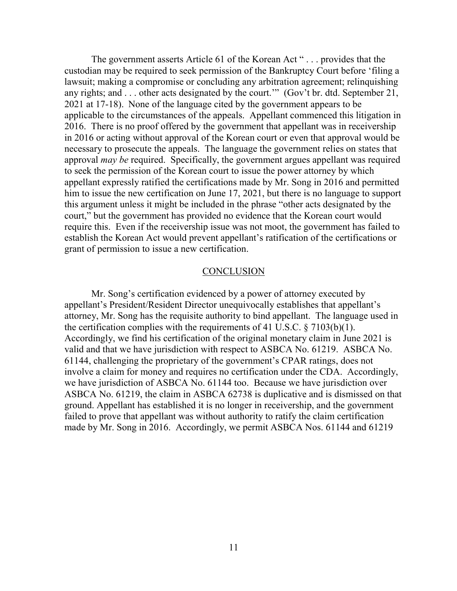The government asserts Article 61 of the Korean Act "... provides that the custodian may be required to seek permission of the Bankruptcy Court before 'filing a lawsuit; making a compromise or concluding any arbitration agreement; relinquishing any rights; and . . . other acts designated by the court.'" (Gov't br. dtd. September 21, 2021 at 17-18). None of the language cited by the government appears to be applicable to the circumstances of the appeals. Appellant commenced this litigation in 2016. There is no proof offered by the government that appellant was in receivership in 2016 or acting without approval of the Korean court or even that approval would be necessary to prosecute the appeals. The language the government relies on states that approval *may be* required. Specifically, the government argues appellant was required to seek the permission of the Korean court to issue the power attorney by which appellant expressly ratified the certifications made by Mr. Song in 2016 and permitted him to issue the new certification on June 17, 2021, but there is no language to support this argument unless it might be included in the phrase "other acts designated by the court," but the government has provided no evidence that the Korean court would require this. Even if the receivership issue was not moot, the government has failed to establish the Korean Act would prevent appellant's ratification of the certifications or grant of permission to issue a new certification.

#### **CONCLUSION**

 Mr. Song's certification evidenced by a power of attorney executed by appellant's President/Resident Director unequivocally establishes that appellant's attorney, Mr. Song has the requisite authority to bind appellant. The language used in the certification complies with the requirements of 41 U.S.C.  $\S 7103(b)(1)$ . Accordingly, we find his certification of the original monetary claim in June 2021 is valid and that we have jurisdiction with respect to ASBCA No. 61219. ASBCA No. 61144, challenging the proprietary of the government's CPAR ratings, does not involve a claim for money and requires no certification under the CDA. Accordingly, we have jurisdiction of ASBCA No. 61144 too. Because we have jurisdiction over ASBCA No. 61219, the claim in ASBCA 62738 is duplicative and is dismissed on that ground. Appellant has established it is no longer in receivership, and the government failed to prove that appellant was without authority to ratify the claim certification made by Mr. Song in 2016. Accordingly, we permit ASBCA Nos. 61144 and 61219